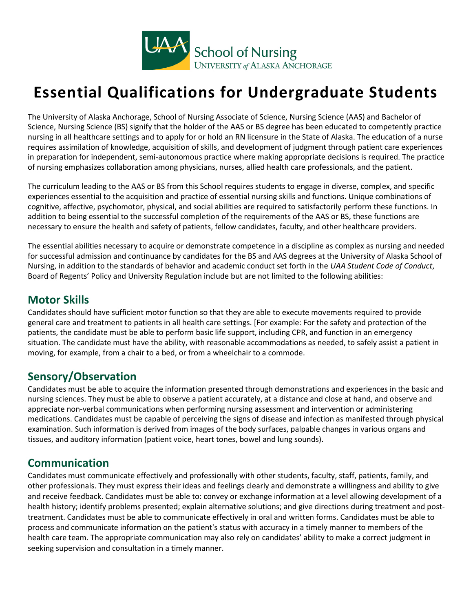

# **Essential Qualifications for Undergraduate Students**

The University of Alaska Anchorage, School of Nursing Associate of Science, Nursing Science (AAS) and Bachelor of Science, Nursing Science (BS) signify that the holder of the AAS or BS degree has been educated to competently practice nursing in all healthcare settings and to apply for or hold an RN licensure in the State of Alaska. The education of a nurse requires assimilation of knowledge, acquisition of skills, and development of judgment through patient care experiences in preparation for independent, semi-autonomous practice where making appropriate decisions is required. The practice of nursing emphasizes collaboration among physicians, nurses, allied health care professionals, and the patient.

The curriculum leading to the AAS or BS from this School requires students to engage in diverse, complex, and specific experiences essential to the acquisition and practice of essential nursing skills and functions. Unique combinations of cognitive, affective, psychomotor, physical, and social abilities are required to satisfactorily perform these functions. In addition to being essential to the successful completion of the requirements of the AAS or BS, these functions are necessary to ensure the health and safety of patients, fellow candidates, faculty, and other healthcare providers.

The essential abilities necessary to acquire or demonstrate competence in a discipline as complex as nursing and needed for successful admission and continuance by candidates for the BS and AAS degrees at the University of Alaska School of Nursing, in addition to the standards of behavior and academic conduct set forth in the *UAA Student Code of Conduct*, Board of Regents' Policy and University Regulation include but are not limited to the following abilities:

#### **Motor Skills**

Candidates should have sufficient motor function so that they are able to execute movements required to provide general care and treatment to patients in all health care settings. [For example: For the safety and protection of the patients, the candidate must be able to perform basic life support, including CPR, and function in an emergency situation. The candidate must have the ability, with reasonable accommodations as needed, to safely assist a patient in moving, for example, from a chair to a bed, or from a wheelchair to a commode.

## **Sensory/Observation**

Candidates must be able to acquire the information presented through demonstrations and experiences in the basic and nursing sciences. They must be able to observe a patient accurately, at a distance and close at hand, and observe and appreciate non-verbal communications when performing nursing assessment and intervention or administering medications. Candidates must be capable of perceiving the signs of disease and infection as manifested through physical examination. Such information is derived from images of the body surfaces, palpable changes in various organs and tissues, and auditory information (patient voice, heart tones, bowel and lung sounds).

#### **Communication**

Candidates must communicate effectively and professionally with other students, faculty, staff, patients, family, and other professionals. They must express their ideas and feelings clearly and demonstrate a willingness and ability to give and receive feedback. Candidates must be able to: convey or exchange information at a level allowing development of a health history; identify problems presented; explain alternative solutions; and give directions during treatment and posttreatment. Candidates must be able to communicate effectively in oral and written forms. Candidates must be able to process and communicate information on the patient's status with accuracy in a timely manner to members of the health care team. The appropriate communication may also rely on candidates' ability to make a correct judgment in seeking supervision and consultation in a timely manner.